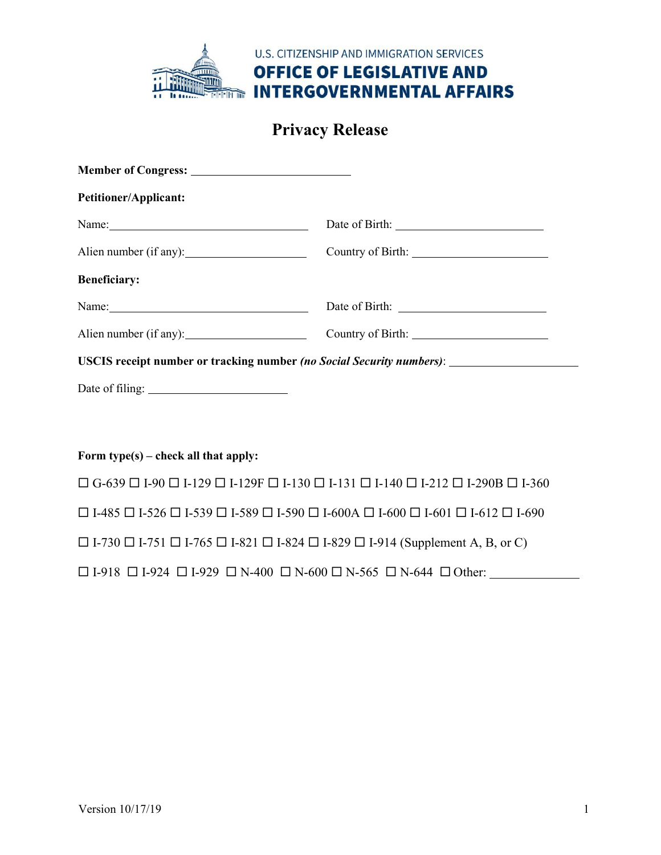

## **Privacy Release**

| <b>Petitioner/Applicant:</b>                                                                                                                                                                                                   |                                                                                                                                    |
|--------------------------------------------------------------------------------------------------------------------------------------------------------------------------------------------------------------------------------|------------------------------------------------------------------------------------------------------------------------------------|
| Name:                                                                                                                                                                                                                          |                                                                                                                                    |
|                                                                                                                                                                                                                                |                                                                                                                                    |
| <b>Beneficiary:</b>                                                                                                                                                                                                            |                                                                                                                                    |
| Name: Name and the set of the set of the set of the set of the set of the set of the set of the set of the set of the set of the set of the set of the set of the set of the set of the set of the set of the set of the set o |                                                                                                                                    |
|                                                                                                                                                                                                                                | Alien number (if any): Country of Birth:                                                                                           |
|                                                                                                                                                                                                                                | USCIS receipt number or tracking number (no Social Security numbers): _________________                                            |
|                                                                                                                                                                                                                                |                                                                                                                                    |
|                                                                                                                                                                                                                                |                                                                                                                                    |
| Form type(s) – check all that apply:                                                                                                                                                                                           |                                                                                                                                    |
|                                                                                                                                                                                                                                | $\Box$ G-639 $\Box$ I-90 $\Box$ I-129 $\Box$ I-129F $\Box$ I-130 $\Box$ I-131 $\Box$ I-140 $\Box$ I-212 $\Box$ I-290B $\Box$ I-360 |
|                                                                                                                                                                                                                                | $\Box$ I-485 $\Box$ I-526 $\Box$ I-539 $\Box$ I-589 $\Box$ I-590 $\Box$ I-600 $\Box$ I-600 $\Box$ I-601 $\Box$ I-612 $\Box$ I-690  |
|                                                                                                                                                                                                                                | $\Box$ I-730 $\Box$ I-751 $\Box$ I-765 $\Box$ I-821 $\Box$ I-824 $\Box$ I-829 $\Box$ I-914 (Supplement A, B, or C)                 |
|                                                                                                                                                                                                                                | $\Box$ I-918 $\Box$ I-924 $\Box$ I-929 $\Box$ N-400 $\Box$ N-600 $\Box$ N-565 $\Box$ N-644 $\Box$ Other:                           |